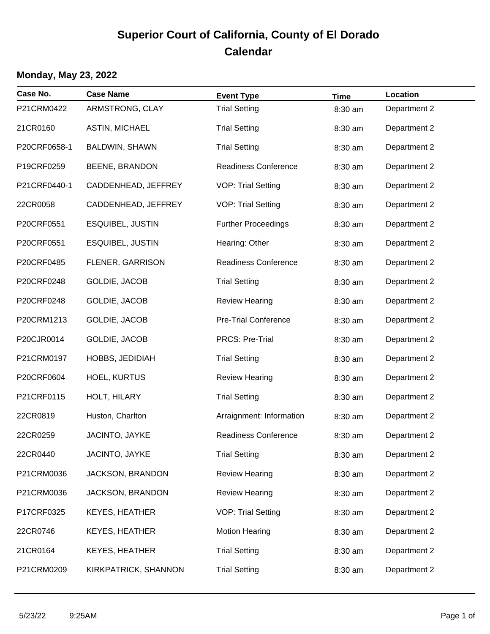# **Superior Court of California, County of El Dorado Calendar**

### **Monday, May 23, 2022**

| Case No.     | <b>Case Name</b>        | <b>Event Type</b>           | <b>Time</b> | Location     |
|--------------|-------------------------|-----------------------------|-------------|--------------|
| P21CRM0422   | ARMSTRONG, CLAY         | <b>Trial Setting</b>        | 8:30 am     | Department 2 |
| 21CR0160     | <b>ASTIN, MICHAEL</b>   | <b>Trial Setting</b>        | 8:30 am     | Department 2 |
| P20CRF0658-1 | BALDWIN, SHAWN          | <b>Trial Setting</b>        | 8:30 am     | Department 2 |
| P19CRF0259   | <b>BEENE, BRANDON</b>   | <b>Readiness Conference</b> | 8:30 am     | Department 2 |
| P21CRF0440-1 | CADDENHEAD, JEFFREY     | <b>VOP: Trial Setting</b>   | 8:30 am     | Department 2 |
| 22CR0058     | CADDENHEAD, JEFFREY     | <b>VOP: Trial Setting</b>   | 8:30 am     | Department 2 |
| P20CRF0551   | <b>ESQUIBEL, JUSTIN</b> | <b>Further Proceedings</b>  | 8:30 am     | Department 2 |
| P20CRF0551   | <b>ESQUIBEL, JUSTIN</b> | Hearing: Other              | 8:30 am     | Department 2 |
| P20CRF0485   | FLENER, GARRISON        | <b>Readiness Conference</b> | 8:30 am     | Department 2 |
| P20CRF0248   | GOLDIE, JACOB           | <b>Trial Setting</b>        | 8:30 am     | Department 2 |
| P20CRF0248   | GOLDIE, JACOB           | <b>Review Hearing</b>       | 8:30 am     | Department 2 |
| P20CRM1213   | GOLDIE, JACOB           | <b>Pre-Trial Conference</b> | 8:30 am     | Department 2 |
| P20CJR0014   | GOLDIE, JACOB           | <b>PRCS: Pre-Trial</b>      | 8:30 am     | Department 2 |
| P21CRM0197   | HOBBS, JEDIDIAH         | <b>Trial Setting</b>        | 8:30 am     | Department 2 |
| P20CRF0604   | <b>HOEL, KURTUS</b>     | <b>Review Hearing</b>       | 8:30 am     | Department 2 |
| P21CRF0115   | HOLT, HILARY            | <b>Trial Setting</b>        | 8:30 am     | Department 2 |
| 22CR0819     | Huston, Charlton        | Arraignment: Information    | 8:30 am     | Department 2 |
| 22CR0259     | JACINTO, JAYKE          | <b>Readiness Conference</b> | 8:30 am     | Department 2 |
| 22CR0440     | JACINTO, JAYKE          | <b>Trial Setting</b>        | 8:30 am     | Department 2 |
| P21CRM0036   | JACKSON, BRANDON        | <b>Review Hearing</b>       | 8:30 am     | Department 2 |
| P21CRM0036   | JACKSON, BRANDON        | <b>Review Hearing</b>       | 8:30 am     | Department 2 |
| P17CRF0325   | <b>KEYES, HEATHER</b>   | <b>VOP: Trial Setting</b>   | 8:30 am     | Department 2 |
| 22CR0746     | <b>KEYES, HEATHER</b>   | <b>Motion Hearing</b>       | 8:30 am     | Department 2 |
| 21CR0164     | KEYES, HEATHER          | <b>Trial Setting</b>        | 8:30 am     | Department 2 |
| P21CRM0209   | KIRKPATRICK, SHANNON    | <b>Trial Setting</b>        | 8:30 am     | Department 2 |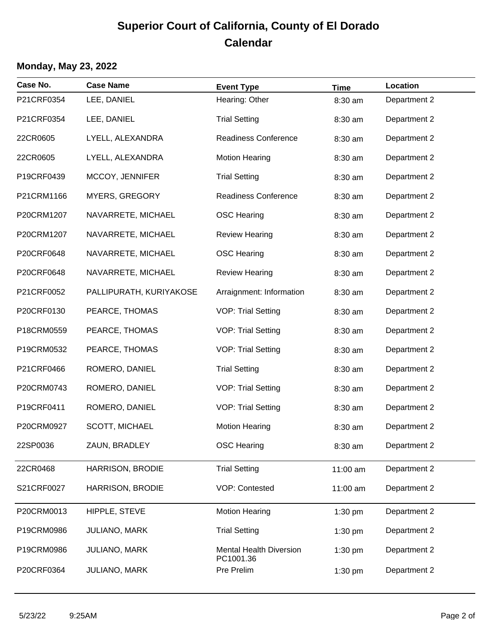## **Superior Court of California, County of El Dorado Calendar**

#### **Monday, May 23, 2022**

| Case No.   | <b>Case Name</b>        | <b>Event Type</b>                           | <b>Time</b> | Location     |
|------------|-------------------------|---------------------------------------------|-------------|--------------|
| P21CRF0354 | LEE, DANIEL             | Hearing: Other                              | 8:30 am     | Department 2 |
| P21CRF0354 | LEE, DANIEL             | <b>Trial Setting</b>                        | 8:30 am     | Department 2 |
| 22CR0605   | LYELL, ALEXANDRA        | <b>Readiness Conference</b>                 | 8:30 am     | Department 2 |
| 22CR0605   | LYELL, ALEXANDRA        | <b>Motion Hearing</b>                       | 8:30 am     | Department 2 |
| P19CRF0439 | MCCOY, JENNIFER         | <b>Trial Setting</b>                        | 8:30 am     | Department 2 |
| P21CRM1166 | <b>MYERS, GREGORY</b>   | <b>Readiness Conference</b>                 | 8:30 am     | Department 2 |
| P20CRM1207 | NAVARRETE, MICHAEL      | <b>OSC Hearing</b>                          | 8:30 am     | Department 2 |
| P20CRM1207 | NAVARRETE, MICHAEL      | <b>Review Hearing</b>                       | 8:30 am     | Department 2 |
| P20CRF0648 | NAVARRETE, MICHAEL      | <b>OSC Hearing</b>                          | 8:30 am     | Department 2 |
| P20CRF0648 | NAVARRETE, MICHAEL      | <b>Review Hearing</b>                       | 8:30 am     | Department 2 |
| P21CRF0052 | PALLIPURATH, KURIYAKOSE | Arraignment: Information                    | 8:30 am     | Department 2 |
| P20CRF0130 | PEARCE, THOMAS          | <b>VOP: Trial Setting</b>                   | 8:30 am     | Department 2 |
| P18CRM0559 | PEARCE, THOMAS          | <b>VOP: Trial Setting</b>                   | 8:30 am     | Department 2 |
| P19CRM0532 | PEARCE, THOMAS          | <b>VOP: Trial Setting</b>                   | 8:30 am     | Department 2 |
| P21CRF0466 | ROMERO, DANIEL          | <b>Trial Setting</b>                        | 8:30 am     | Department 2 |
| P20CRM0743 | ROMERO, DANIEL          | <b>VOP: Trial Setting</b>                   | 8:30 am     | Department 2 |
| P19CRF0411 | ROMERO, DANIEL          | <b>VOP: Trial Setting</b>                   | 8:30 am     | Department 2 |
| P20CRM0927 | SCOTT, MICHAEL          | <b>Motion Hearing</b>                       | 8:30 am     | Department 2 |
| 22SP0036   | ZAUN, BRADLEY           | <b>OSC Hearing</b>                          | 8:30 am     | Department 2 |
| 22CR0468   | <b>HARRISON, BRODIE</b> | <b>Trial Setting</b>                        | 11:00 am    | Department 2 |
| S21CRF0027 | <b>HARRISON, BRODIE</b> | <b>VOP: Contested</b>                       | 11:00 am    | Department 2 |
| P20CRM0013 | HIPPLE, STEVE           | <b>Motion Hearing</b>                       | 1:30 pm     | Department 2 |
| P19CRM0986 | JULIANO, MARK           | <b>Trial Setting</b>                        | 1:30 pm     | Department 2 |
| P19CRM0986 | <b>JULIANO, MARK</b>    | <b>Mental Health Diversion</b><br>PC1001.36 | 1:30 pm     | Department 2 |
| P20CRF0364 | JULIANO, MARK           | Pre Prelim                                  | 1:30 pm     | Department 2 |